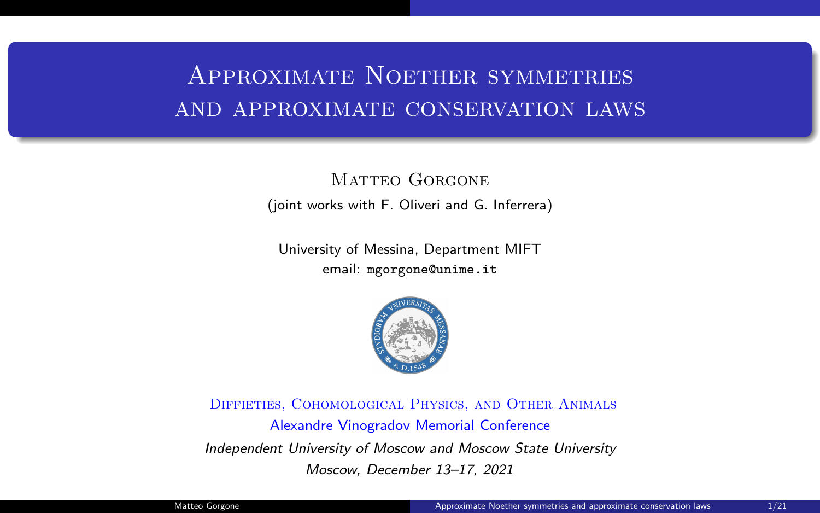# Approximate Noether symmetries and approximate conservation laws

MATTEO GORGONE (joint works with F. Oliveri and G. Inferrera)

University of Messina, Department MIFT email: mgorgone@unime.it



Diffieties, Cohomological Physics, and Other Animals Alexandre Vinogradov Memorial Conference Independent University of Moscow and Moscow State University Moscow, December 13–17, 2021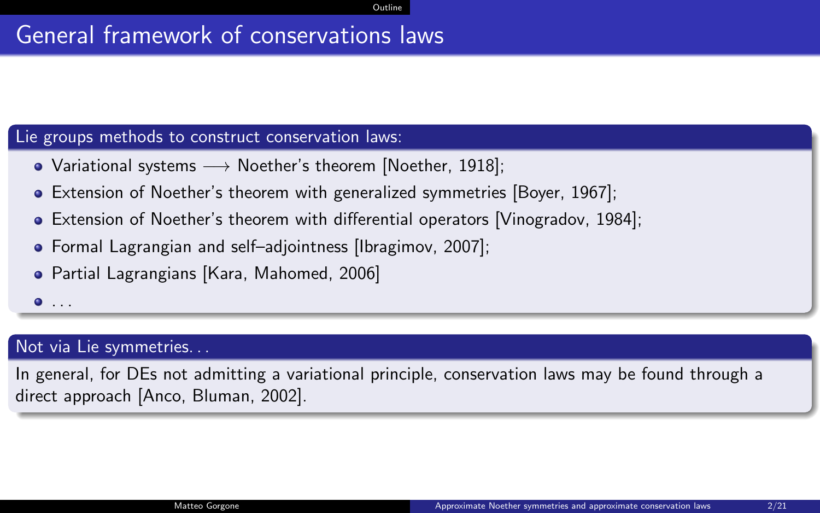## <span id="page-1-0"></span>General framework of conservations laws

#### Lie groups methods to construct conservation laws:

- Variational systems −→ Noether's theorem [Noether, 1918];
- Extension of Noether's theorem with generalized symmetries [Boyer, 1967];
- Extension of Noether's theorem with differential operators [Vinogradov, 1984];
- Formal Lagrangian and self–adjointness [Ibragimov, 2007];
- Partial Lagrangians [Kara, Mahomed, 2006]
- $\bullet$  ...

#### Not via Lie symmetries. . .

In general, for DEs not admitting a variational principle, conservation laws may be found through a direct approach [Anco, Bluman, 2002].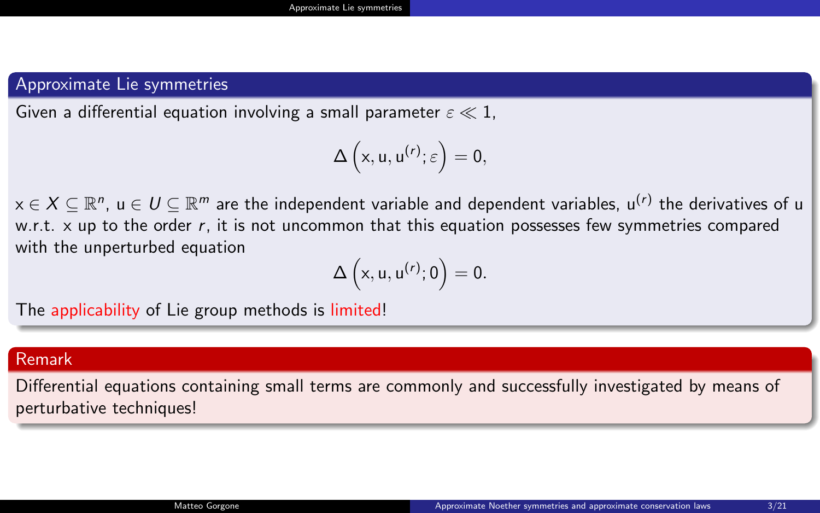#### <span id="page-2-0"></span>Approximate Lie symmetries

Given a differential equation involving a small parameter  $\varepsilon \ll 1$ ,

$$
\Delta\left( x,u,u^{\left( r\right) };\varepsilon\right) =0,
$$

 $\mathsf{x}\in\mathcal{X}\subseteq\mathbb{R}^n$ ,  $\mathsf{u}\in\mathcal{U}\subseteq\mathbb{R}^m$  are the independent variable and dependent variables,  $\mathsf{u}^{(r)}$  the derivatives of  $\mathsf{u}$ w.r.t.  $x$  up to the order  $r$ , it is not uncommon that this equation possesses few symmetries compared with the unperturbed equation

$$
\Delta\left(x,u,u^{(r)};0\right)=0.
$$

The applicability of Lie group methods is limited!

#### Remark

Differential equations containing small terms are commonly and successfully investigated by means of perturbative techniques!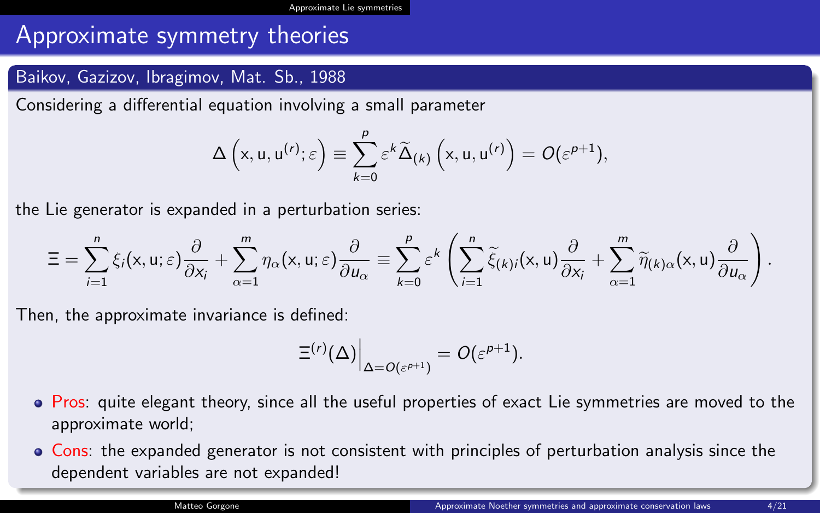## Approximate symmetry theories

#### Baikov, Gazizov, Ibragimov, Mat. Sb., 1988

Considering a differential equation involving a small parameter

$$
\Delta\left(x, u, u^{(r)}; \varepsilon\right) \equiv \sum_{k=0}^p \varepsilon^k \widetilde{\Delta}_{(k)}\left(x, u, u^{(r)}\right) = O(\varepsilon^{p+1}),
$$

the Lie generator is expanded in a perturbation series:

$$
\Xi = \sum_{i=1}^n \xi_i(x, u; \varepsilon) \frac{\partial}{\partial x_i} + \sum_{\alpha=1}^m \eta_\alpha(x, u; \varepsilon) \frac{\partial}{\partial u_\alpha} \equiv \sum_{k=0}^p \varepsilon^k \left( \sum_{i=1}^n \widetilde{\xi}_{(k)i}(x, u) \frac{\partial}{\partial x_i} + \sum_{\alpha=1}^m \widetilde{\eta}_{(k)\alpha}(x, u) \frac{\partial}{\partial u_\alpha} \right).
$$

Then, the approximate invariance is defined:

$$
\left. \Xi^{(r)}(\Delta) \right|_{\Delta = O(\varepsilon^{\rho+1})} = \mathit{O}(\varepsilon^{\rho+1}).
$$

- Pros: quite elegant theory, since all the useful properties of exact Lie symmetries are moved to the approximate world;
- Cons: the expanded generator is not consistent with principles of perturbation analysis since the dependent variables are not expanded!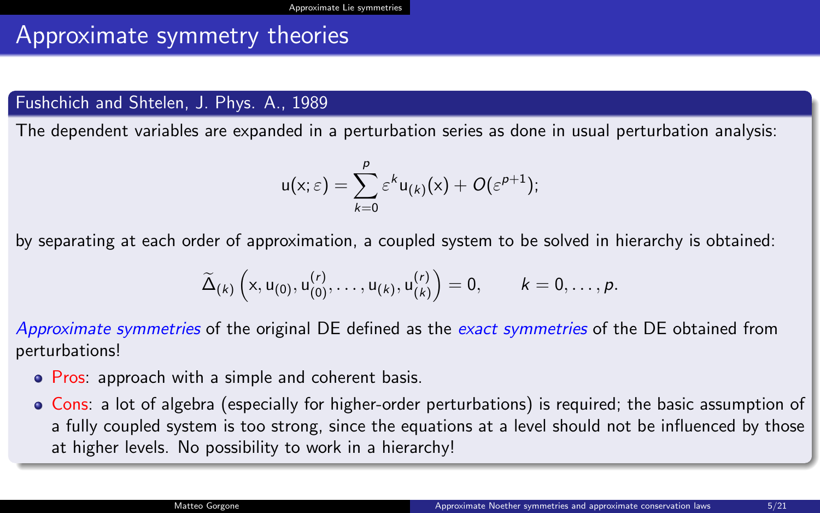## Approximate symmetry theories

#### Fushchich and Shtelen, J. Phys. A., 1989

The dependent variables are expanded in a perturbation series as done in usual perturbation analysis:

$$
u(x;\varepsilon)=\sum_{k=0}^{\rho}\varepsilon^{k}u_{(k)}(x)+O(\varepsilon^{p+1});
$$

by separating at each order of approximation, a coupled system to be solved in hierarchy is obtained:

$$
\widetilde{\Delta}_{(k)}\left(x,u_{(0)},u_{(0)}^{(r)},\ldots,u_{(k)},u_{(k)}^{(r)}\right)=0, \qquad k=0,\ldots,p.
$$

Approximate symmetries of the original DE defined as the exact symmetries of the DE obtained from perturbations!

- Pros: approach with a simple and coherent basis.
- Cons: a lot of algebra (especially for higher-order perturbations) is required; the basic assumption of a fully coupled system is too strong, since the equations at a level should not be influenced by those at higher levels. No possibility to work in a hierarchy!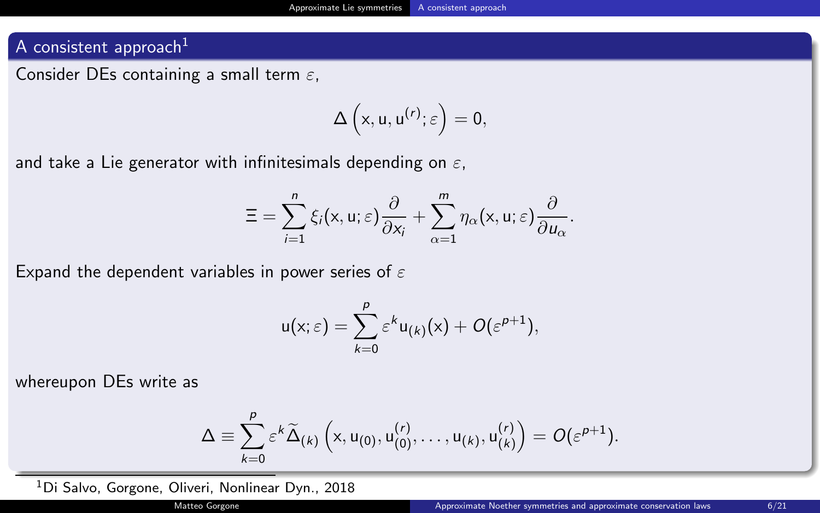#### <span id="page-5-0"></span>A consistent approach $1$

Consider DEs containing a small term  $\varepsilon$ ,

$$
\Delta\left(x,u,u^{(r)};\varepsilon\right)=0,
$$

and take a Lie generator with infinitesimals depending on  $\varepsilon$ ,

$$
\Xi=\sum_{i=1}^n\xi_i(x,u;\varepsilon)\frac{\partial}{\partial x_i}+\sum_{\alpha=1}^m\eta_{\alpha}(x,u;\varepsilon)\frac{\partial}{\partial u_{\alpha}}.
$$

Expand the dependent variables in power series of  $\varepsilon$ 

$$
u(x;\varepsilon)=\sum_{k=0}^p\varepsilon^ku_{(k)}(x)+O(\varepsilon^{p+1}),
$$

whereupon DEs write as

$$
\Delta\equiv\sum_{k=0}^{\rho}\varepsilon^{k}\widetilde{\Delta}_{(k)}\left(x,u_{(0)},u_{(0)}^{(r)},\ldots,u_{(k)},u_{(k)}^{(r)}\right)=\textit{O}(\varepsilon^{p+1}).
$$

<sup>1</sup>Di Salvo, Gorgone, Oliveri, Nonlinear Dyn., 2018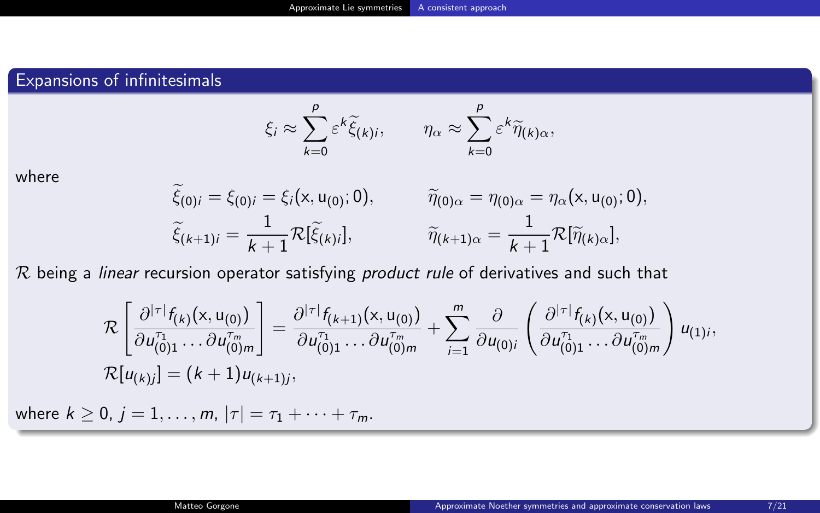### Expansions of infinitesimals

$$
\xi_i \approx \sum_{k=0}^p \varepsilon^k \widetilde{\xi}_{(k)i}, \qquad \eta_\alpha \approx \sum_{k=0}^p \varepsilon^k \widetilde{\eta}_{(k)\alpha},
$$

where

$$
\widetilde{\xi}_{(0)i} = \xi_{(0)i} = \xi_i(x, u_{(0)}; 0), \qquad \widetilde{\eta}_{(0)\alpha} = \eta_{(0)\alpha} = \eta_{\alpha}(x, u_{(0)}; 0), \n\widetilde{\xi}_{(k+1)i} = \frac{1}{k+1} \mathcal{R}[\widetilde{\xi}_{(k)i}], \qquad \widetilde{\eta}_{(k+1)\alpha} = \frac{1}{k+1} \mathcal{R}[\widetilde{\eta}_{(k)\alpha}],
$$

 $R$  being a linear recursion operator satisfying product rule of derivatives and such that

$$
\mathcal{R}\left[\frac{\partial^{|\tau|}f_{(k)}(x,u_{(0)})}{\partial u_{(0)1}^{\tau_1}\ldots\partial u_{(0)m}^{\tau_m}}\right] = \frac{\partial^{|\tau|}f_{(k+1)}(x,u_{(0)})}{\partial u_{(0)1}^{\tau_1}\ldots\partial u_{(0)m}^{\tau_m}} + \sum_{i=1}^{m} \frac{\partial}{\partial u_{(0)i}}\left(\frac{\partial^{|\tau|}f_{(k)}(x,u_{(0)})}{\partial u_{(0)1}^{\tau_1}\ldots\partial u_{(0)m}^{\tau_m}}\right)u_{(1)i},
$$
  

$$
\mathcal{R}[u_{(k)j}] = (k+1)u_{(k+1)j},
$$

where  $k \ge 0$ ,  $j = 1, ..., m$ ,  $|\tau| = \tau_1 + \cdots + \tau_m$ .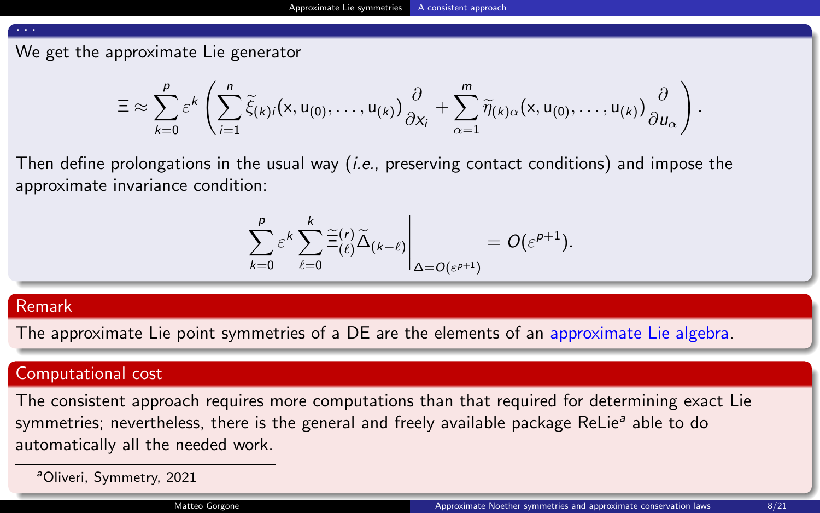#### . . .

We get the approximate Lie generator

$$
\Xi\approx\sum_{k=0}^p\varepsilon^k\left(\sum_{i=1}^n\widetilde{\xi}_{(k)i}(x,u_{(0)},\ldots,u_{(k)})\frac{\partial}{\partial x_i}+\sum_{\alpha=1}^m\widetilde{\eta}_{(k)\alpha}(x,u_{(0)},\ldots,u_{(k)})\frac{\partial}{\partial u_\alpha}\right).
$$

Then define prolongations in the usual way (*i.e.*, preserving contact conditions) and impose the approximate invariance condition:

$$
\sum_{k=0}^p \varepsilon^k \sum_{\ell=0}^k \widetilde{\Xi}^{(r)}_{(\ell)} \widetilde{\Delta}_{(k-\ell)} \Bigg|_{\Delta=O(\varepsilon^{p+1})} = O(\varepsilon^{p+1}).
$$

#### Remark

The approximate Lie point symmetries of a DE are the elements of an approximate Lie algebra.

#### Computational cost

The consistent approach requires more computations than that required for determining exact Lie symmetries; nevertheless, there is the general and freely available package ReLie<sup>a</sup> able to do automatically all the needed work.

<sup>a</sup>Oliveri, Symmetry, 2021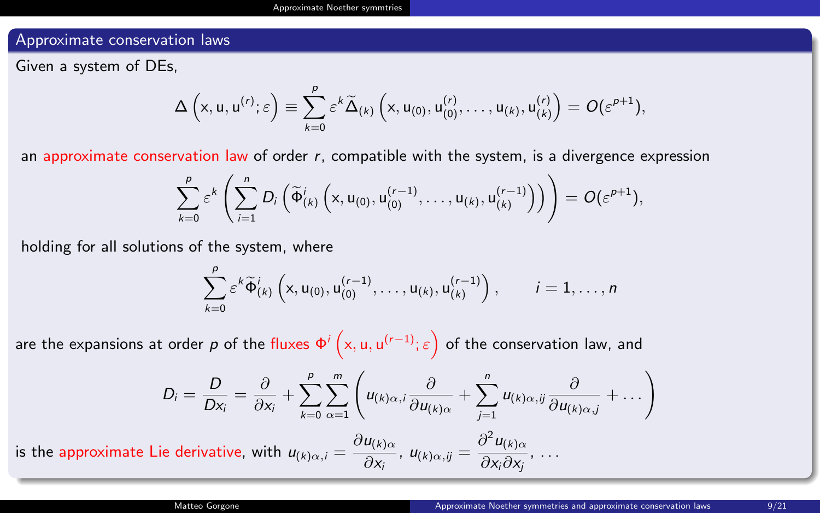#### <span id="page-8-0"></span>Approximate conservation laws

Given a system of DEs,

$$
\Delta\left(x,u,u^{(r)};\varepsilon\right)\equiv\sum_{k=0}^p\varepsilon^k\widetilde{\Delta}_{(k)}\left(x,u_{(0)},u_{(0)}^{(r)},\ldots,u_{(k)},u_{(k)}^{(r)}\right)=O(\varepsilon^{p+1}),
$$

an approximate conservation law of order  $r$ , compatible with the system, is a divergence expression

$$
\sum_{k=0}^p \varepsilon^k \left( \sum_{i=1}^n D_i \left( \widetilde{\Phi}_{(k)}^i \left( x, u_{(0)}, u_{(0)}^{(r-1)}, \ldots, u_{(k)}, u_{(k)}^{(r-1)} \right) \right) \right) = O(\varepsilon^{p+1}),
$$

holding for all solutions of the system, where

$$
\sum_{k=0}^p \varepsilon^k \widetilde{\Phi}_{(k)}^i \left( x, u_{(0)}, u_{(0)}^{(r-1)}, \dots, u_{(k)}, u_{(k)}^{(r-1)} \right), \qquad i = 1, \dots, n
$$

are the expansions at order  $p$  of the fluxes  $\Phi^i\left(\mathsf{x},\mathsf{u},\mathsf{u}^{(r-1)};\varepsilon\right)$  of the conservation law, and

$$
D_i = \frac{D}{Dx_i} = \frac{\partial}{\partial x_i} + \sum_{k=0}^p \sum_{\alpha=1}^m \left( u_{(k)\alpha,i} \frac{\partial}{\partial u_{(k)\alpha}} + \sum_{j=1}^n u_{(k)\alpha,j} \frac{\partial}{\partial u_{(k)\alpha,j}} + \dots \right)
$$

is the approximate Lie derivative, with  $u_{(k)\alpha,i} = \frac{\partial u_{(k)\alpha}}{\partial x}$  $\frac{u_{(k)\alpha}}{\partial x_i}$ ,  $u_{(k)\alpha,ij} = \frac{\partial^2 u_{(k)\alpha}}{\partial x_i \partial x_j}$  $\frac{\partial}{\partial x_i \partial x_j}$ , ...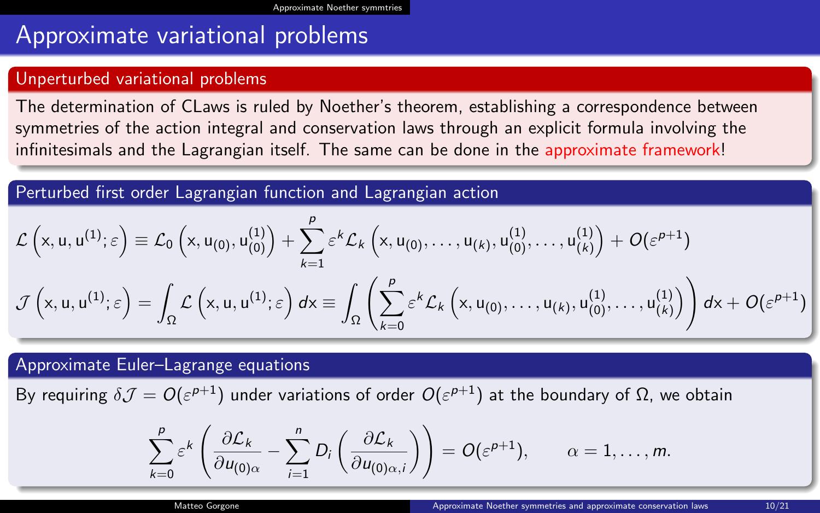## Approximate variational problems

#### Unperturbed variational problems

The determination of CLaws is ruled by Noether's theorem, establishing a correspondence between symmetries of the action integral and conservation laws through an explicit formula involving the infinitesimals and the Lagrangian itself. The same can be done in the approximate framework!

Perturbed first order Lagrangian function and Lagrangian action

$$
\mathcal{L}\left(x, u, u^{(1)}; \varepsilon\right) \equiv \mathcal{L}_0\left(x, u_{(0)}, u_{(0)}^{(1)}\right) + \sum_{k=1}^p \varepsilon^k \mathcal{L}_k\left(x, u_{(0)}, \dots, u_{(k)}, u_{(0)}^{(1)}, \dots, u_{(k)}^{(1)}\right) + O(\varepsilon^{p+1})
$$
\n
$$
\mathcal{J}\left(x, u, u^{(1)}; \varepsilon\right) = \int_{\Omega} \mathcal{L}\left(x, u, u^{(1)}; \varepsilon\right) dx \equiv \int_{\Omega} \left(\sum_{k=0}^p \varepsilon^k \mathcal{L}_k\left(x, u_{(0)}, \dots, u_{(k)}, u_{(0)}^{(1)}, \dots, u_{(k)}^{(1)}\right)\right) dx + O(\varepsilon^{p+1})
$$

Approximate Euler–Lagrange equations

By requiring  $\delta\mathcal{J}=O(\varepsilon^{p+1})$  under variations of order  $O(\varepsilon^{p+1})$  at the boundary of Ω, we obtain

$$
\sum_{k=0}^p \varepsilon^k \left( \frac{\partial \mathcal{L}_k}{\partial u_{(0)\alpha}} - \sum_{i=1}^n D_i \left( \frac{\partial \mathcal{L}_k}{\partial u_{(0)\alpha,i}} \right) \right) = O(\varepsilon^{p+1}), \qquad \alpha = 1, \ldots, m.
$$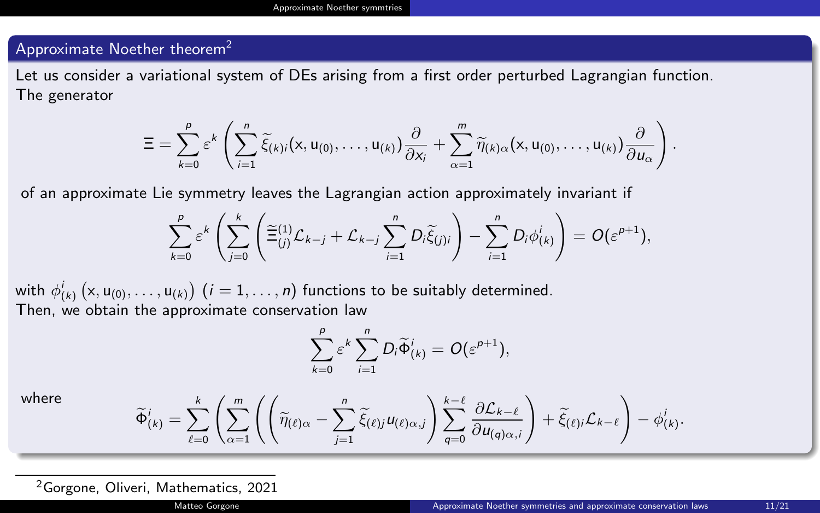#### Approximate Noether theorem<sup>2</sup>

Let us consider a variational system of DEs arising from a first order perturbed Lagrangian function. The generator

$$
\Xi=\sum_{k=0}^p \varepsilon^k\left(\sum_{i=1}^n \widetilde{\xi}_{(k)i}(x,u_{(0)},\ldots,u_{(k)})\frac{\partial}{\partial x_i}+\sum_{\alpha=1}^m \widetilde{\eta}_{(k)\alpha}(x,u_{(0)},\ldots,u_{(k)})\frac{\partial}{\partial u_\alpha}\right).
$$

of an approximate Lie symmetry leaves the Lagrangian action approximately invariant if

$$
\sum_{k=0}^p \varepsilon^k \left( \sum_{j=0}^k \left( \widetilde{\Xi}_{(j)}^{(1)} \mathcal{L}_{k-j} + \mathcal{L}_{k-j} \sum_{i=1}^n D_i \widetilde{\xi}_{(j)i} \right) - \sum_{i=1}^n D_i \phi_{(k)}^i \right) = O(\varepsilon^{p+1}),
$$

with  $\phi_{(k)}^i\left(\mathsf{x},\mathsf{u}_{(0)},\ldots,\mathsf{u}_{(k)}\right)$   $(i=1,\ldots,n)$  functions to be suitably determined. Then, we obtain the approximate conservation law

$$
\sum_{k=0}^p \varepsilon^k \sum_{i=1}^n D_i \widetilde{\Phi}_{(k)}^i = O(\varepsilon^{p+1}),
$$

where

$$
\widetilde{\Phi}_{(k)}^i = \sum_{\ell=0}^k \left( \sum_{\alpha=1}^m \left( \left( \widetilde{\eta}_{(\ell)\alpha} - \sum_{j=1}^n \widetilde{\xi}_{(\ell)j} u_{(\ell)\alpha,j} \right) \sum_{q=0}^{k-\ell} \frac{\partial \mathcal{L}_{k-\ell}}{\partial u_{(q)\alpha,j}} \right) + \widetilde{\xi}_{(\ell)j} \mathcal{L}_{k-\ell} \right) - \phi_{(k)}^i.
$$

<sup>2</sup>Gorgone, Oliveri, Mathematics, 2021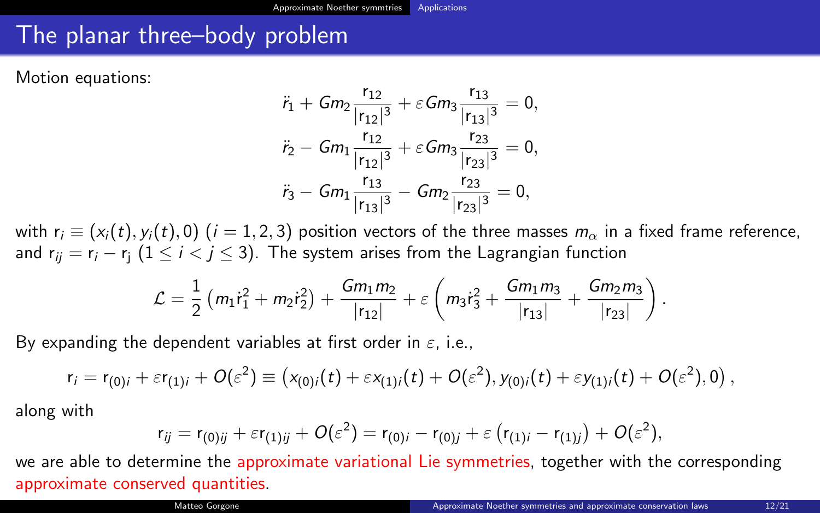## <span id="page-11-0"></span>The planar three–body problem

Motion equations:

$$
\ddot{r}_1 + Gm_2 \frac{r_{12}}{|r_{12}|^3} + \varepsilon Gm_3 \frac{r_{13}}{|r_{13}|^3} = 0,
$$
  

$$
\ddot{r}_2 - Gm_1 \frac{r_{12}}{|r_{12}|^3} + \varepsilon Gm_3 \frac{r_{23}}{|r_{23}|^3} = 0,
$$
  

$$
\ddot{r}_3 - Gm_1 \frac{r_{13}}{|r_{13}|^3} - Gm_2 \frac{r_{23}}{|r_{23}|^3} = 0,
$$

with  $r_i \equiv (x_i(t), y_i(t), 0)$  (i = 1, 2, 3) position vectors of the three masses  $m_\alpha$  in a fixed frame reference, and  $r_{ii} = r_i - r_i$  (1  $\le i < j \le 3$ ). The system arises from the Lagrangian function

$$
\mathcal{L} = \frac{1}{2} \left( m_1 \dot{r}_1^2 + m_2 \dot{r}_2^2 \right) + \frac{Gm_1 m_2}{|r_{12}|} + \varepsilon \left( m_3 \dot{r}_3^2 + \frac{Gm_1 m_3}{|r_{13}|} + \frac{Gm_2 m_3}{|r_{23}|} \right).
$$

By expanding the dependent variables at first order in  $\varepsilon$ , i.e.,

$$
r_i = r_{(0)i} + \varepsilon r_{(1)i} + O(\varepsilon^2) \equiv (x_{(0)i}(t) + \varepsilon x_{(1)i}(t) + O(\varepsilon^2), y_{(0)i}(t) + \varepsilon y_{(1)i}(t) + O(\varepsilon^2), 0),
$$

along with

$$
r_{ij} = r_{(0)ij} + \varepsilon r_{(1)ij} + O(\varepsilon^2) = r_{(0)i} - r_{(0)j} + \varepsilon (r_{(1)i} - r_{(1)j}) + O(\varepsilon^2),
$$

we are able to determine the approximate variational Lie symmetries, together with the corresponding approximate conserved quantities.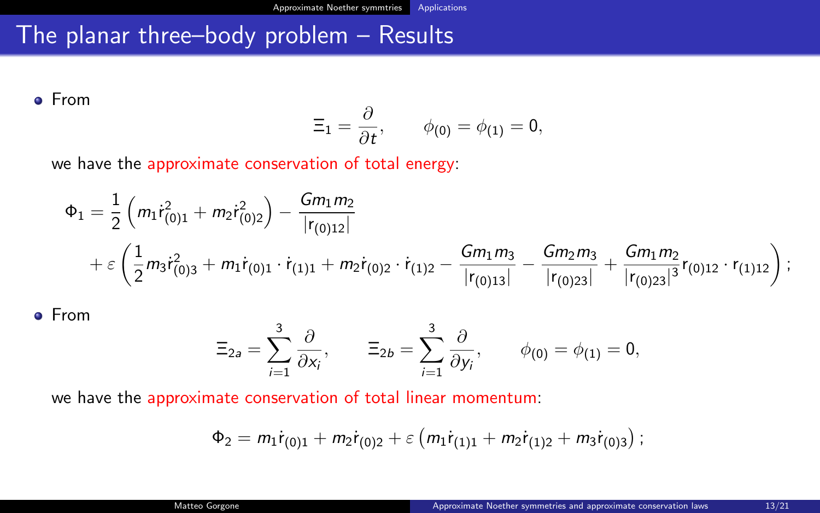## The planar three–body problem – Results

From

$$
\Xi_1=\frac{\partial}{\partial t},\qquad \phi_{(0)}=\phi_{(1)}=0,
$$

we have the approximate conservation of total energy:

$$
\Phi_1 = \frac{1}{2} \left( m_1 \dot{r}_{(0)1}^2 + m_2 \dot{r}_{(0)2}^2 \right) - \frac{Gm_1 m_2}{|r_{(0)12}|} \n+ \varepsilon \left( \frac{1}{2} m_3 \dot{r}_{(0)3}^2 + m_1 \dot{r}_{(0)1} \cdot \dot{r}_{(1)1} + m_2 \dot{r}_{(0)2} \cdot \dot{r}_{(1)2} - \frac{Gm_1 m_3}{|r_{(0)13}|} - \frac{Gm_2 m_3}{|r_{(0)23}|} + \frac{Gm_1 m_2}{|r_{(0)23}|} r_{(0)12} \cdot r_{(1)12} \right);
$$

From

$$
\Xi_{2a}=\sum_{i=1}^3\frac{\partial}{\partial x_i},\qquad \Xi_{2b}=\sum_{i=1}^3\frac{\partial}{\partial y_i},\qquad \phi_{(0)}=\phi_{(1)}=0,
$$

we have the approximate conservation of total linear momentum:

$$
\Phi_2 = m_1 \dot{r}_{(0)1} + m_2 \dot{r}_{(0)2} + \varepsilon \left( m_1 \dot{r}_{(1)1} + m_2 \dot{r}_{(1)2} + m_3 \dot{r}_{(0)3} \right);
$$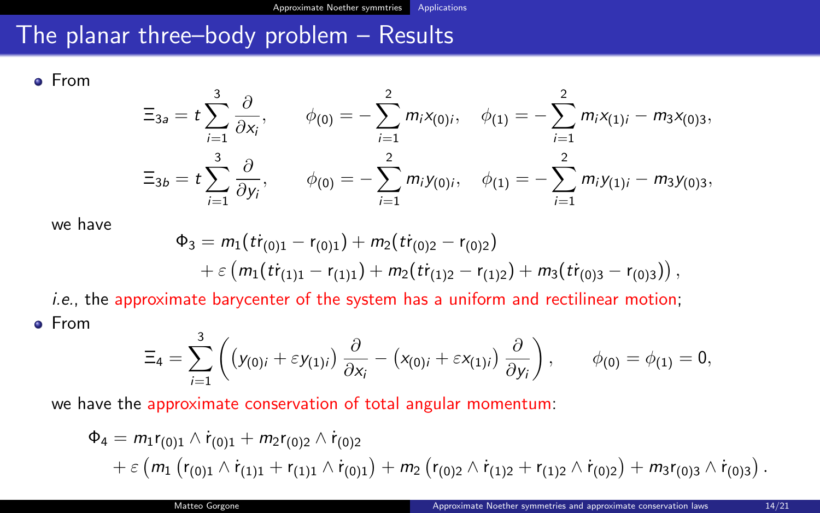## The planar three–body problem – Results

From

$$
\Xi_{3a} = t \sum_{i=1}^{3} \frac{\partial}{\partial x_i}, \qquad \phi_{(0)} = - \sum_{i=1}^{2} m_i x_{(0)i}, \quad \phi_{(1)} = - \sum_{i=1}^{2} m_i x_{(1)i} - m_3 x_{(0)3},
$$

$$
\Xi_{3b} = t \sum_{i=1}^{3} \frac{\partial}{\partial y_i}, \qquad \phi_{(0)} = - \sum_{i=1}^{2} m_i y_{(0)i}, \quad \phi_{(1)} = - \sum_{i=1}^{2} m_i y_{(1)i} - m_3 y_{(0)3},
$$

we have

$$
\Phi_3 = m_1(t \dot{r}_{(0)1} - r_{(0)1}) + m_2(t \dot{r}_{(0)2} - r_{(0)2}) + \varepsilon (m_1(t \dot{r}_{(1)1} - r_{(1)1}) + m_2(t \dot{r}_{(1)2} - r_{(1)2}) + m_3(t \dot{r}_{(0)3} - r_{(0)3})),
$$

i.e., the approximate barycenter of the system has a uniform and rectilinear motion; From 3

$$
\Xi_4 = \sum_{i=1}^3 \left( \left( y_{(0)i} + \varepsilon y_{(1)i} \right) \frac{\partial}{\partial x_i} - \left( x_{(0)i} + \varepsilon x_{(1)i} \right) \frac{\partial}{\partial y_i} \right), \qquad \phi_{(0)} = \phi_{(1)} = 0,
$$

we have the approximate conservation of total angular momentum:

$$
\Phi_4 = m_1 r_{(0)1} \wedge \dot{r}_{(0)1} + m_2 r_{(0)2} \wedge \dot{r}_{(0)2} + \varepsilon (m_1 (r_{(0)1} \wedge \dot{r}_{(1)1} + r_{(1)1} \wedge \dot{r}_{(0)1}) + m_2 (r_{(0)2} \wedge \dot{r}_{(1)2} + r_{(1)2} \wedge \dot{r}_{(0)2}) + m_3 r_{(0)3} \wedge \dot{r}_{(0)3}).
$$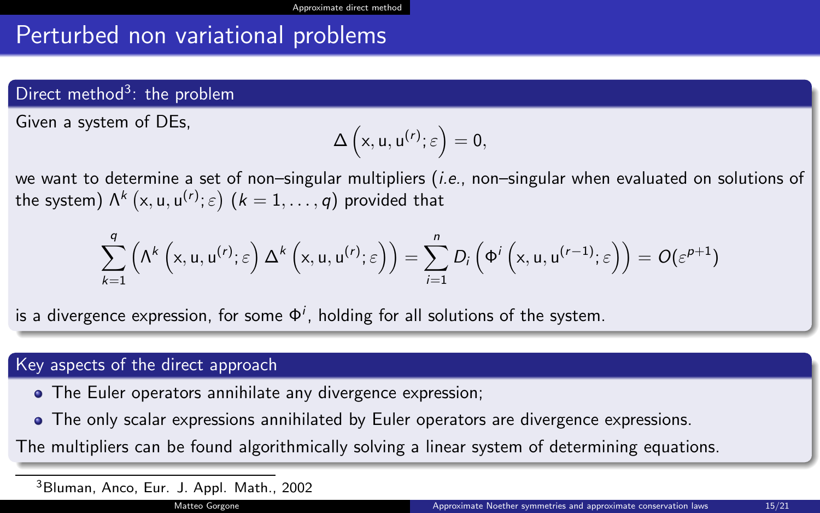## <span id="page-14-0"></span>Perturbed non variational problems

## Direct method<sup>3</sup>: the problem

Given a system of DEs,

$$
\Delta\left(x,u,u^{(r)};\varepsilon\right)=0,
$$

we want to determine a set of non–singular multipliers (i.e., non–singular when evaluated on solutions of the system)  $\mathsf{\Lambda}^k\left( \mathsf{x},\mathsf{u},\mathsf{u}^{(r)};\varepsilon \right)$   $(k=1,\ldots,q)$  provided that

$$
\sum_{k=1}^q \left( \Lambda^k \left( x, u, u^{(r)}; \varepsilon \right) \Delta^k \left( x, u, u^{(r)}; \varepsilon \right) \right) = \sum_{i=1}^n D_i \left( \Phi^i \left( x, u, u^{(r-1)}; \varepsilon \right) \right) = O(\varepsilon^{p+1})
$$

is a divergence expression, for some  $\Phi^i$ , holding for all solutions of the system.

#### Key aspects of the direct approach

- The Euler operators annihilate any divergence expression;
- The only scalar expressions annihilated by Euler operators are divergence expressions.

The multipliers can be found algorithmically solving a linear system of determining equations.

<sup>3</sup>Bluman, Anco, Eur. J. Appl. Math., 2002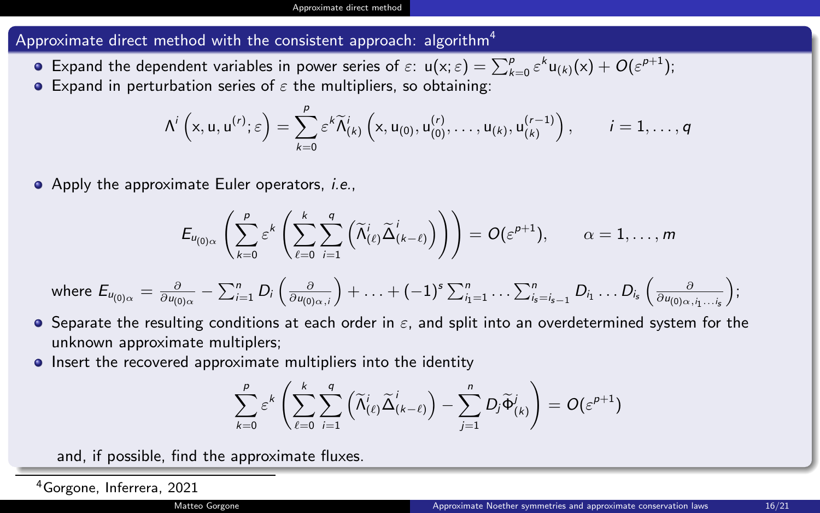#### Approximate direct method with the consistent approach: algorithm<sup>4</sup>

- Expand the dependent variables in power series of  $\varepsilon$ :  $\mathsf{u}(\mathsf{x};\varepsilon) = \sum_{k=0}^p \varepsilon^k \mathsf{u}_{(k)}(\mathsf{x}) + O(\varepsilon^{p+1});$
- **•** Expand in perturbation series of  $\varepsilon$  the multipliers, so obtaining:

$$
\Lambda^i\left(x,u,u^{(r)};\varepsilon\right)=\sum_{k=0}^{\rho}\varepsilon^k\widetilde{\Lambda}^i_{(k)}\left(x,u_{(0)},u_{(0)}^{(r)},\ldots,u_{(k)},u_{(k)}^{(r-1)}\right),\qquad i=1,\ldots,q
$$

• Apply the approximate Euler operators, *i.e.*,

$$
E_{u_{(0)\alpha}}\left(\sum_{k=0}^p \varepsilon^k \left(\sum_{\ell=0}^k \sum_{i=1}^q \left(\widetilde{\Lambda}^i_{(\ell)} \widetilde{\Delta}^i_{(k-\ell)}\right)\right)\right) = O(\varepsilon^{p+1}), \qquad \alpha = 1,\ldots,m
$$

where 
$$
E_{u_{(0)\alpha}} = \frac{\partial}{\partial u_{(0)\alpha}} - \sum_{i=1}^n D_i \left( \frac{\partial}{\partial u_{(0)\alpha,i}} \right) + \ldots + (-1)^s \sum_{i_1=1}^n \ldots \sum_{i_s=i_s-1}^n D_{i_1} \ldots D_{i_s} \left( \frac{\partial}{\partial u_{(0)\alpha,i_1\ldots i_s}} \right);
$$

- $\bullet$  Separate the resulting conditions at each order in  $\varepsilon$ , and split into an overdetermined system for the unknown approximate multiplers;
- **•** Insert the recovered approximate multipliers into the identity

$$
\sum_{k=0}^p \varepsilon^k \left( \sum_{\ell=0}^k \sum_{i=1}^q \left( \widetilde{\Lambda}_{(\ell)}^i \widetilde{\Delta}_{(k-\ell)}^i \right) - \sum_{j=1}^n D_j \widetilde{\Phi}_{(k)}^j \right) = O(\varepsilon^{p+1})
$$

and, if possible, find the approximate fluxes.

<sup>4</sup>Gorgone, Inferrera, 2021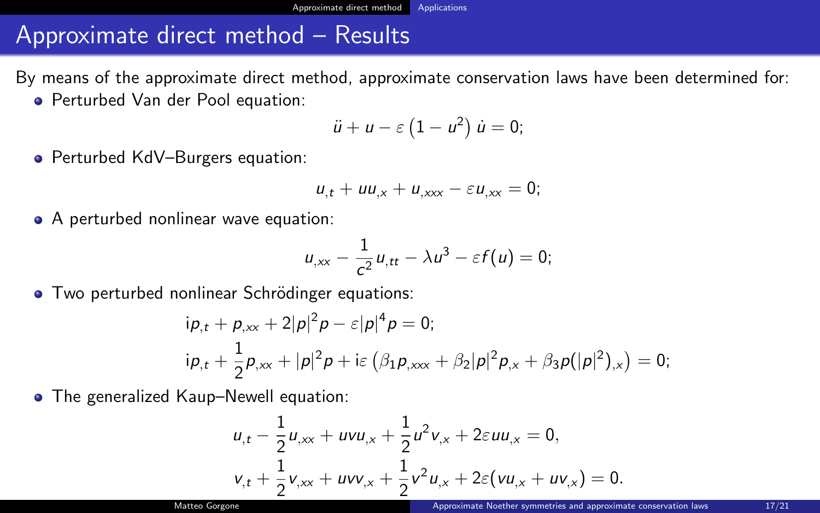## <span id="page-16-0"></span>Approximate direct method – Results

By means of the approximate direct method, approximate conservation laws have been determined for:

Perturbed Van der Pool equation:

$$
\ddot{u}+u-\varepsilon\left(1-u^2\right)\dot{u}=0;
$$

● Perturbed KdV–Burgers equation:

$$
u_{,t} + uu_{,x} + u_{,xxx} - \varepsilon u_{,xx} = 0;
$$

• A perturbed nonlinear wave equation:

$$
u_{,xx}-\frac{1}{c^2}u_{,tt}-\lambda u^3-\varepsilon f(u)=0;
$$

• Two perturbed nonlinear Schrödinger equations:

$$
ip_{,t} + p_{,xx} + 2|p|^2 p - \varepsilon|p|^4 p = 0;
$$
  
\n
$$
ip_{,t} + \frac{1}{2}p_{,xx} + |p|^2 p + i\varepsilon \left(\beta_1 p_{,xxx} + \beta_2 |p|^2 p_{,x} + \beta_3 p(|p|^2)_{,x}\right) = 0;
$$

• The generalized Kaup–Newell equation:

$$
u_{,t} - \frac{1}{2}u_{,xx} + uvu_{,x} + \frac{1}{2}u^2v_{,x} + 2\epsilon uu_{,x} = 0,
$$
  

$$
v_{,t} + \frac{1}{2}v_{,xx} + uvv_{,x} + \frac{1}{2}v^2u_{,x} + 2\epsilon(vu_{,x} + uv_{,x}) = 0.
$$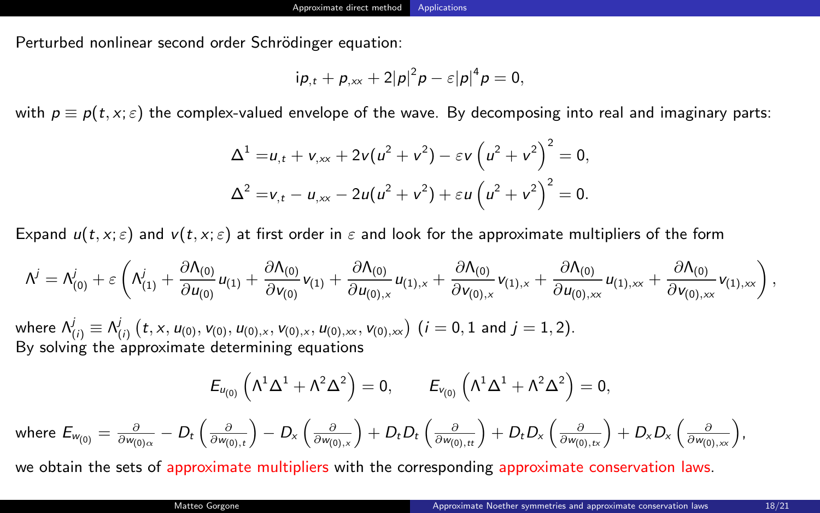Perturbed nonlinear second order Schrödinger equation:

$$
i\rho_{,t}+\rho_{,xx}+2|\rho|^2\rho-\varepsilon|\rho|^4\rho=0,
$$

with  $p \equiv p(t, x; \varepsilon)$  the complex-valued envelope of the wave. By decomposing into real and imaginary parts:

$$
\Delta^{1} = u_{,t} + v_{,xx} + 2v(u^{2} + v^{2}) - \varepsilon v (u^{2} + v^{2})^{2} = 0,
$$
  

$$
\Delta^{2} = v_{,t} - u_{,xx} - 2u(u^{2} + v^{2}) + \varepsilon u (u^{2} + v^{2})^{2} = 0.
$$

Expand  $u(t, x; \varepsilon)$  and  $v(t, x; \varepsilon)$  at first order in  $\varepsilon$  and look for the approximate multipliers of the form

$$
\Lambda^{j} = \Lambda^{j}_{(0)} + \epsilon \left( \Lambda^{j}_{(1)} + \frac{\partial \Lambda_{(0)}}{\partial u_{(0)}} u_{(1)} + \frac{\partial \Lambda_{(0)}}{\partial v_{(0)}} v_{(1)} + \frac{\partial \Lambda_{(0)}}{\partial u_{(0),x}} u_{(1),x} + \frac{\partial \Lambda_{(0)}}{\partial v_{(0),x}} v_{(1),x} + \frac{\partial \Lambda_{(0)}}{\partial u_{(0),xx}} u_{(1),xx} + \frac{\partial \Lambda_{(0)}}{\partial v_{(0),xx}} v_{(1),xx} \right),
$$

where  $\mathcal{N}^{j}_{(i)}\equiv \mathcal{N}^{j}_{(i)}\left(t,x,u_{(0)},\nu_{(0)},u_{(0),x},\nu_{(0),x},\nu_{(0),xx},\nu_{(0),xx}\right)\, (i=0,1$  and  $j=1,2).$ By solving the approximate determining equations

$$
E_{u_{(0)}}\left(\Lambda^1\Delta^1+\Lambda^2\Delta^2\right)=0, \qquad E_{v_{(0)}}\left(\Lambda^1\Delta^1+\Lambda^2\Delta^2\right)=0,
$$

where  $E_{w_{(0)}} = \frac{\partial}{\partial w_{(0)}_\alpha} - D_t\left(\frac{\partial}{\partial w_{(0),t}}\right) - D_x\left(\frac{\partial}{\partial w_{(0),x}}\right) + D_tD_t\left(\frac{\partial}{\partial w_{(0),tt}}\right) + D_tD_x\left(\frac{\partial}{\partial w_{(0),xx}}\right) + D_xD_x\left(\frac{\partial}{\partial w_{(0),xx}}\right),$ 

we obtain the sets of approximate multipliers with the corresponding approximate conservation laws.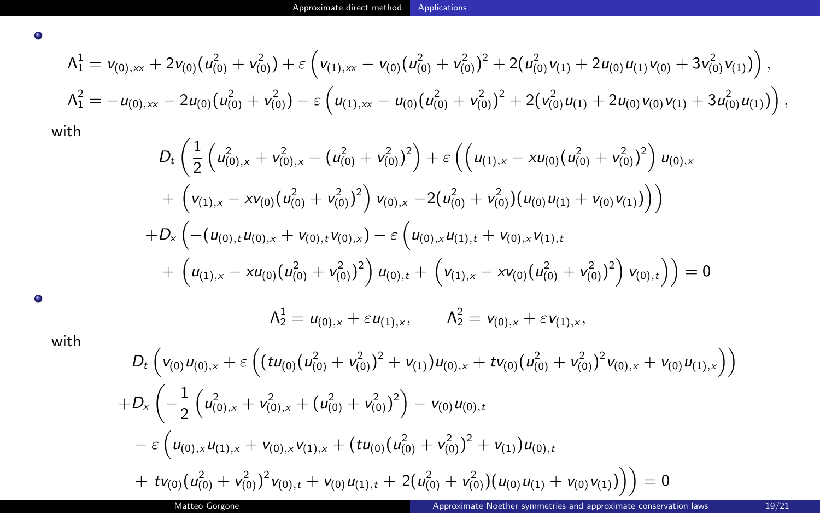$$
\begin{aligned}\n\Lambda_1^1 &= v_{(0),xx} + 2v_{(0)}(u_{(0)}^2 + v_{(0)}^2) + \varepsilon \left( v_{(1),xx} - v_{(0)}(u_{(0)}^2 + v_{(0)}^2)^2 + 2(u_{(0)}^2v_{(1)} + 2u_{(0)}u_{(1)}v_{(0)} + 3v_{(0)}^2v_{(1)}) \right), \\
\Lambda_1^2 &= -u_{(0),xx} - 2u_{(0)}(u_{(0)}^2 + v_{(0)}^2) - \varepsilon \left( u_{(1),xx} - u_{(0)}(u_{(0)}^2 + v_{(0)}^2)^2 + 2(v_{(0)}^2u_{(1)} + 2u_{(0)}v_{(0)}v_{(1)} + 3u_{(0)}^2u_{(1)}) \right),\n\end{aligned}
$$

with

 $\bullet$ 

$$
D_{t}\left(\frac{1}{2}\left(u_{(0),x}^{2}+v_{(0),x}^{2}-(u_{(0)}^{2}+v_{(0)}^{2})^{2}\right)+\varepsilon\left(\left(u_{(1),x}-xu_{(0)}(u_{(0)}^{2}+v_{(0)}^{2})^{2}\right)u_{(0),x}\right) + \left(v_{(1),x}-xv_{(0)}(u_{(0)}^{2}+v_{(0)}^{2})^{2}\right)v_{(0),x}-2(u_{(0)}^{2}+v_{(0)}^{2})(u_{(0)}u_{(1)}+v_{(0)}v_{(1)})\right) +D_{x}\left(-\left(u_{(0),t}u_{(0),x}+v_{(0),t}v_{(0),x}\right)-\varepsilon\left(u_{(0),x}u_{(1),t}+v_{(0),x}v_{(1),t}\right) + \left(u_{(1),x}-xu_{(0)}(u_{(0)}^{2}+v_{(0)}^{2})^{2}\right)u_{(0),t}+\left(v_{(1),x}-xv_{(0)}(u_{(0)}^{2}+v_{(0)}^{2})^{2}\right)v_{(0),t}\right)\right)=0 \Lambda_{2}^{1}=u_{(0),x}+\varepsilon u_{(1),x}, \qquad \Lambda_{2}^{2}=v_{(0),x}+\varepsilon v_{(1),x},
$$

 $\bullet$ 

with

$$
D_{t}\left(v_{(0)}u_{(0),x}+\varepsilon\left((tu_{(0)}(u_{(0)}^{2}+v_{(0)}^{2})^{2}+v_{(1)})u_{(0),x}+tv_{(0)}(u_{(0)}^{2}+v_{(0)}^{2})^{2}v_{(0),x}+v_{(0)}u_{(1),x}\right)\right) +D_{x}\left(-\frac{1}{2}\left(u_{(0),x}^{2}+v_{(0),x}^{2}+(u_{(0)}^{2}+v_{(0)}^{2})^{2}\right)-v_{(0)}u_{(0),t} -\varepsilon\left(u_{(0),x}u_{(1),x}+v_{(0),x}v_{(1),x}+(tu_{(0)}(u_{(0)}^{2}+v_{(0)}^{2})^{2}+v_{(1)})u_{(0),t} +tv_{(0)}(u_{(0)}^{2}+v_{(0)}^{2})^{2}v_{(0),t}+v_{(0)}u_{(1),t}+2(u_{(0)}^{2}+v_{(0)}^{2})(u_{(0)}u_{(1)}+v_{(0)}v_{(1)})\right)\right)=0
$$
  
Matteo Gorgone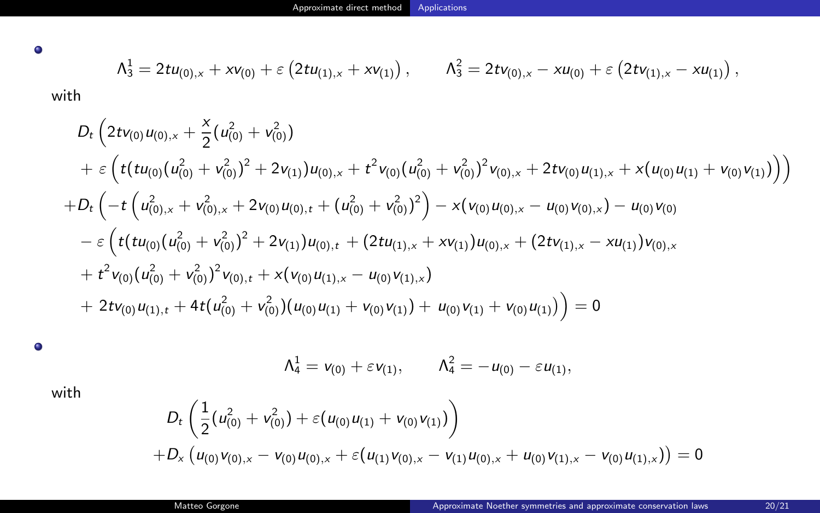$\bullet$ 

$$
\Lambda_3^1 = 2t u_{(0),x} + x v_{(0)} + \varepsilon \left( 2t u_{(1),x} + x v_{(1)} \right), \qquad \Lambda_3^2 = 2t v_{(0),x} - x u_{(0)} + \varepsilon \left( 2t v_{(1),x} - x u_{(1)} \right),
$$

with

$$
D_{t}\left(2t v_{(0)} u_{(0),x} + \frac{x}{2}(u_{(0)}^{2} + v_{(0)}^{2}) + 2v_{(1)}u_{(0),x} + t^{2}v_{(0)}(u_{(0)}^{2} + v_{(0)}^{2})^{2}v_{(0),x} + 2tv_{(0)}u_{(1),x} + x(u_{(0)}u_{(1)} + v_{(0)}v_{(1)})\right)\n+ D_{t}\left(-t\left(u_{(0),x}^{2} + v_{(0),x}^{2} + 2v_{(0)}u_{(0),t} + (u_{(0)}^{2} + v_{(0)}^{2})^{2}\right) - x(v_{(0)}u_{(0),x} - u_{(0)}v_{(0),x}) - u_{(0)}v_{(0)}\right) - \varepsilon\left(t(tu_{(0)}(u_{(0)}^{2} + v_{(0)}^{2})^{2} + 2v_{(1)}u_{(0),t} + (2tu_{(1),x} + xv_{(1)})u_{(0),x} + (2tv_{(1),x} - xu_{(1)})v_{(0),x}\right) + t^{2}v_{(0)}(u_{(0)}^{2} + v_{(0)}^{2})^{2}v_{(0),t} + x(v_{(0)}u_{(1),x} - u_{(0)}v_{(1),x}) + 2tv_{(0)}u_{(1),t} + 4t(u_{(0)}^{2} + v_{(0)}^{2})(u_{(0)}u_{(1)} + v_{(0)}v_{(1)}) + u_{(0)}v_{(1)} + v_{(0)}u_{(1)})\right) = 0
$$

 $\bullet$ 

$$
\Lambda_4^1 = v_{(0)} + \varepsilon v_{(1)}, \qquad \Lambda_4^2 = -u_{(0)} - \varepsilon u_{(1)},
$$

with

$$
D_t\left(\frac{1}{2}(u_{(0)}^2 + v_{(0)}^2) + \varepsilon(u_{(0)}u_{(1)} + v_{(0)}v_{(1)})\right) + D_x\left(u_{(0)}v_{(0),x} - v_{(0)}u_{(0),x} + \varepsilon(u_{(1)}v_{(0),x} - v_{(1)}u_{(0),x} + u_{(0)}v_{(1),x} - v_{(0)}u_{(1),x})\right) = 0
$$